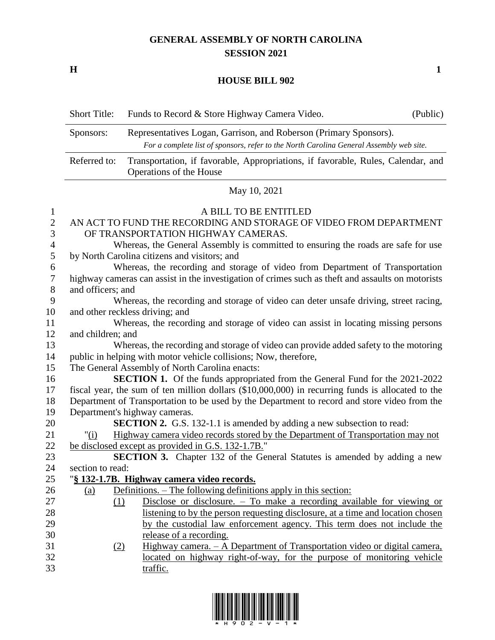## **GENERAL ASSEMBLY OF NORTH CAROLINA SESSION 2021**

**H 1**

## **HOUSE BILL 902**

|                                  | <b>Short Title:</b> | Funds to Record & Store Highway Camera Video.<br>(Public)                                                   |
|----------------------------------|---------------------|-------------------------------------------------------------------------------------------------------------|
|                                  | Sponsors:           | Representatives Logan, Garrison, and Roberson (Primary Sponsors).                                           |
|                                  |                     | For a complete list of sponsors, refer to the North Carolina General Assembly web site.                     |
|                                  | Referred to:        | Transportation, if favorable, Appropriations, if favorable, Rules, Calendar, and<br>Operations of the House |
|                                  |                     | May 10, 2021                                                                                                |
| $\mathbf{1}$                     |                     | A BILL TO BE ENTITLED                                                                                       |
| $\overline{2}$<br>$\mathfrak{Z}$ |                     | AN ACT TO FUND THE RECORDING AND STORAGE OF VIDEO FROM DEPARTMENT<br>OF TRANSPORTATION HIGHWAY CAMERAS.     |
| $\overline{4}$                   |                     | Whereas, the General Assembly is committed to ensuring the roads are safe for use                           |
| 5                                |                     | by North Carolina citizens and visitors; and                                                                |
| 6                                |                     | Whereas, the recording and storage of video from Department of Transportation                               |
| $\boldsymbol{7}$                 |                     | highway cameras can assist in the investigation of crimes such as theft and assaults on motorists           |
| $8\,$                            | and officers; and   |                                                                                                             |
| 9                                |                     | Whereas, the recording and storage of video can deter unsafe driving, street racing,                        |
| 10                               |                     | and other reckless driving; and                                                                             |
| 11<br>12                         | and children; and   | Whereas, the recording and storage of video can assist in locating missing persons                          |
| 13                               |                     | Whereas, the recording and storage of video can provide added safety to the motoring                        |
| 14                               |                     | public in helping with motor vehicle collisions; Now, therefore,                                            |
| 15                               |                     | The General Assembly of North Carolina enacts:                                                              |
| 16                               |                     | <b>SECTION 1.</b> Of the funds appropriated from the General Fund for the 2021-2022                         |
| 17                               |                     | fiscal year, the sum of ten million dollars (\$10,000,000) in recurring funds is allocated to the           |
| 18                               |                     | Department of Transportation to be used by the Department to record and store video from the                |
| 19                               |                     | Department's highway cameras.                                                                               |
| 20                               |                     | <b>SECTION 2.</b> G.S. 132-1.1 is amended by adding a new subsection to read:                               |
| 21                               | " $(i)$             | Highway camera video records stored by the Department of Transportation may not                             |
| 22                               |                     | be disclosed except as provided in G.S. 132-1.7B."                                                          |
| 23                               |                     | <b>SECTION 3.</b> Chapter 132 of the General Statutes is amended by adding a new                            |
| 24                               | section to read:    |                                                                                                             |
| 25                               |                     | "§ 132-1.7B. Highway camera video records.                                                                  |
| 26                               | (a)                 | Definitions. – The following definitions apply in this section:                                             |
| 27                               | (1)                 | Disclose or disclosure. $-$ To make a recording available for viewing or                                    |
| 28                               |                     | listening to by the person requesting disclosure, at a time and location chosen                             |
| 29                               |                     | by the custodial law enforcement agency. This term does not include the                                     |
| 30                               |                     | release of a recording.                                                                                     |
| 31                               | (2)                 | Highway camera. - A Department of Transportation video or digital camera,                                   |
| 32                               |                     | located on highway right-of-way, for the purpose of monitoring vehicle                                      |
| 33                               |                     | traffic.                                                                                                    |

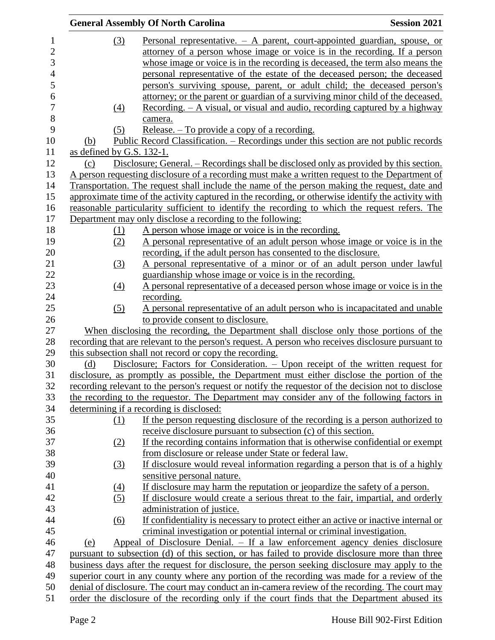|                |                           | <b>General Assembly Of North Carolina</b>                                                                                         | <b>Session 2021</b> |
|----------------|---------------------------|-----------------------------------------------------------------------------------------------------------------------------------|---------------------|
| 1              | <u>(3)</u>                | Personal representative. $-$ A parent, court-appointed guardian, spouse, or                                                       |                     |
| $\overline{2}$ |                           | attorney of a person whose image or voice is in the recording. If a person                                                        |                     |
| 3              |                           | whose image or voice is in the recording is deceased, the term also means the                                                     |                     |
| $\overline{4}$ |                           | personal representative of the estate of the deceased person; the deceased                                                        |                     |
| 5              |                           | person's surviving spouse, parent, or adult child; the deceased person's                                                          |                     |
| 6              |                           | attorney; or the parent or guardian of a surviving minor child of the deceased.                                                   |                     |
| 7              | $\left(4\right)$          | <u>Recording. – A visual, or visual and audio, recording captured by a highway</u>                                                |                     |
| $8\,$          |                           | camera.                                                                                                                           |                     |
| 9              | (5)                       | Release. $-$ To provide a copy of a recording.                                                                                    |                     |
| 10             | (b)                       | <u> Public Record Classification. – Recordings under this section are not public records</u>                                      |                     |
| 11             | as defined by G.S. 132-1. |                                                                                                                                   |                     |
| 12             | (c)                       | Disclosure; General. – Recordings shall be disclosed only as provided by this section.                                            |                     |
| 13             |                           | A person requesting disclosure of a recording must make a written request to the Department of                                    |                     |
| 14             |                           | Transportation. The request shall include the name of the person making the request, date and                                     |                     |
| 15             |                           | approximate time of the activity captured in the recording, or otherwise identify the activity with                               |                     |
| 16             |                           | reasonable particularity sufficient to identify the recording to which the request refers. The                                    |                     |
| 17             |                           | Department may only disclose a recording to the following:                                                                        |                     |
| 18             | (1)                       | A person whose image or voice is in the recording.                                                                                |                     |
| 19             | (2)                       | A personal representative of an adult person whose image or voice is in the                                                       |                     |
| 20             |                           | recording, if the adult person has consented to the disclosure.                                                                   |                     |
| 21             |                           |                                                                                                                                   |                     |
| 22             | (3)                       | A personal representative of a minor or of an adult person under lawful<br>guardianship whose image or voice is in the recording. |                     |
| 23             |                           | A personal representative of a deceased person whose image or voice is in the                                                     |                     |
| 24             | $\underline{(4)}$         | recording.                                                                                                                        |                     |
| 25             |                           |                                                                                                                                   |                     |
| 26             | (5)                       | A personal representative of an adult person who is incapacitated and unable<br>to provide consent to disclosure.                 |                     |
| 27             |                           | When disclosing the recording, the Department shall disclose only those portions of the                                           |                     |
| 28             |                           | recording that are relevant to the person's request. A person who receives disclosure pursuant to                                 |                     |
| 29             |                           | this subsection shall not record or copy the recording.                                                                           |                     |
| 30             | (d)                       | Disclosure; Factors for Consideration. - Upon receipt of the written request for                                                  |                     |
| 31             |                           | disclosure, as promptly as possible, the Department must either disclose the portion of the                                       |                     |
| 32             |                           | recording relevant to the person's request or notify the requestor of the decision not to disclose                                |                     |
| 33             |                           | the recording to the requestor. The Department may consider any of the following factors in                                       |                     |
| 34             |                           | determining if a recording is disclosed:                                                                                          |                     |
| 35             | (1)                       | If the person requesting disclosure of the recording is a person authorized to                                                    |                     |
| 36             |                           | receive disclosure pursuant to subsection (c) of this section.                                                                    |                     |
| 37             | (2)                       | If the recording contains information that is otherwise confidential or exempt                                                    |                     |
| 38             |                           | from disclosure or release under State or federal law.                                                                            |                     |
| 39             | (3)                       | If disclosure would reveal information regarding a person that is of a highly                                                     |                     |
| 40             |                           | sensitive personal nature.                                                                                                        |                     |
| 41             | $\underline{(4)}$         | If disclosure may harm the reputation or jeopardize the safety of a person.                                                       |                     |
| 42             | (5)                       | If disclosure would create a serious threat to the fair, impartial, and orderly                                                   |                     |
| 43             |                           | administration of justice.                                                                                                        |                     |
| 44             | (6)                       | If confidentiality is necessary to protect either an active or inactive internal or                                               |                     |
| 45             |                           | criminal investigation or potential internal or criminal investigation.                                                           |                     |
| 46             | (e)                       | Appeal of Disclosure Denial. - If a law enforcement agency denies disclosure                                                      |                     |
| 47             |                           | pursuant to subsection (d) of this section, or has failed to provide disclosure more than three                                   |                     |
| 48             |                           | business days after the request for disclosure, the person seeking disclosure may apply to the                                    |                     |
| 49             |                           | superior court in any county where any portion of the recording was made for a review of the                                      |                     |
| 50             |                           | denial of disclosure. The court may conduct an in-camera review of the recording. The court may                                   |                     |
| 51             |                           | order the disclosure of the recording only if the court finds that the Department abused its                                      |                     |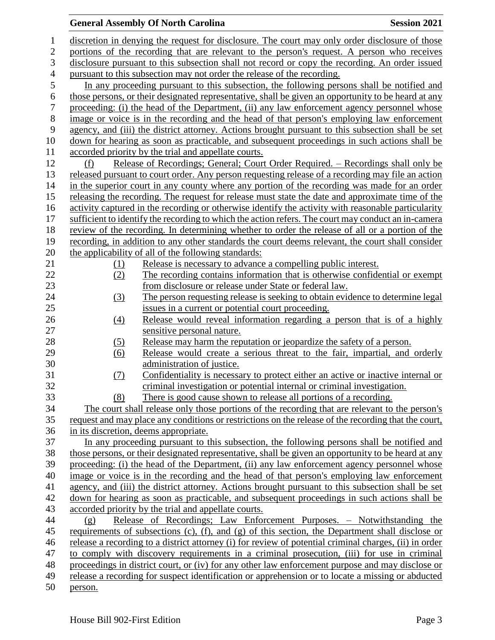## **General Assembly Of North Carolina Session 2021**

| 1                | discretion in denying the request for disclosure. The court may only order disclosure of those                                      |  |  |  |  |
|------------------|-------------------------------------------------------------------------------------------------------------------------------------|--|--|--|--|
| $\boldsymbol{2}$ | portions of the recording that are relevant to the person's request. A person who receives                                          |  |  |  |  |
| 3                | disclosure pursuant to this subsection shall not record or copy the recording. An order issued                                      |  |  |  |  |
| $\overline{4}$   | pursuant to this subsection may not order the release of the recording.                                                             |  |  |  |  |
| 5                | In any proceeding pursuant to this subsection, the following persons shall be notified and                                          |  |  |  |  |
| $\sqrt{6}$       | those persons, or their designated representative, shall be given an opportunity to be heard at any                                 |  |  |  |  |
| $\tau$           | proceeding: (i) the head of the Department, (ii) any law enforcement agency personnel whose                                         |  |  |  |  |
| $8\,$            | image or voice is in the recording and the head of that person's employing law enforcement                                          |  |  |  |  |
| 9                | agency, and (iii) the district attorney. Actions brought pursuant to this subsection shall be set                                   |  |  |  |  |
| 10               | down for hearing as soon as practicable, and subsequent proceedings in such actions shall be                                        |  |  |  |  |
| 11               | accorded priority by the trial and appellate courts.                                                                                |  |  |  |  |
| 12               | Release of Recordings; General; Court Order Required. – Recordings shall only be<br>(f)                                             |  |  |  |  |
| 13               | released pursuant to court order. Any person requesting release of a recording may file an action                                   |  |  |  |  |
| 14               | in the superior court in any county where any portion of the recording was made for an order                                        |  |  |  |  |
| 15               | releasing the recording. The request for release must state the date and approximate time of the                                    |  |  |  |  |
| 16               | activity captured in the recording or otherwise identify the activity with reasonable particularity                                 |  |  |  |  |
| 17               | sufficient to identify the recording to which the action refers. The court may conduct an in-camera                                 |  |  |  |  |
| 18               | review of the recording. In determining whether to order the release of all or a portion of the                                     |  |  |  |  |
| 19               | recording, in addition to any other standards the court deems relevant, the court shall consider                                    |  |  |  |  |
| 20               | the applicability of all of the following standards:                                                                                |  |  |  |  |
| 21               | Release is necessary to advance a compelling public interest.<br>(1)                                                                |  |  |  |  |
| 22               | The recording contains information that is otherwise confidential or exempt<br>(2)                                                  |  |  |  |  |
| 23               | from disclosure or release under State or federal law.                                                                              |  |  |  |  |
| 24               | The person requesting release is seeking to obtain evidence to determine legal<br>(3)                                               |  |  |  |  |
| 25               | issues in a current or potential court proceeding.                                                                                  |  |  |  |  |
| 26               | Release would reveal information regarding a person that is of a highly<br>(4)                                                      |  |  |  |  |
| 27               | sensitive personal nature.                                                                                                          |  |  |  |  |
| 28               | Release may harm the reputation or jeopardize the safety of a person.<br>(5)                                                        |  |  |  |  |
| 29               | Release would create a serious threat to the fair, impartial, and orderly<br>$\underline{(6)}$                                      |  |  |  |  |
| 30               | administration of justice.                                                                                                          |  |  |  |  |
| 31               | (7)<br>Confidentiality is necessary to protect either an active or inactive internal or                                             |  |  |  |  |
| 32               | criminal investigation or potential internal or criminal investigation.                                                             |  |  |  |  |
| 33               | There is good cause shown to release all portions of a recording.<br>(8)                                                            |  |  |  |  |
| 34               | The court shall release only those portions of the recording that are relevant to the person's                                      |  |  |  |  |
| 35               | request and may place any conditions or restrictions on the release of the recording that the court,                                |  |  |  |  |
| 36<br>37         | in its discretion, deems appropriate.<br>In any proceeding pursuant to this subsection, the following persons shall be notified and |  |  |  |  |
| 38               | those persons, or their designated representative, shall be given an opportunity to be heard at any                                 |  |  |  |  |
| 39               | proceeding: (i) the head of the Department, (ii) any law enforcement agency personnel whose                                         |  |  |  |  |
| 40               | image or voice is in the recording and the head of that person's employing law enforcement                                          |  |  |  |  |
| 41               | agency, and (iii) the district attorney. Actions brought pursuant to this subsection shall be set                                   |  |  |  |  |
| 42               | down for hearing as soon as practicable, and subsequent proceedings in such actions shall be                                        |  |  |  |  |
| 43               | accorded priority by the trial and appellate courts.                                                                                |  |  |  |  |
| 44               | Release of Recordings; Law Enforcement Purposes. - Notwithstanding the<br>(g)                                                       |  |  |  |  |
| 45               | requirements of subsections $(c)$ , $(f)$ , and $(g)$ of this section, the Department shall disclose or                             |  |  |  |  |
| 46               | release a recording to a district attorney (i) for review of potential criminal charges, (ii) in order                              |  |  |  |  |
| 47               | to comply with discovery requirements in a criminal prosecution, (iii) for use in criminal                                          |  |  |  |  |
| 48               | proceedings in district court, or (iv) for any other law enforcement purpose and may disclose or                                    |  |  |  |  |
| 49               | release a recording for suspect identification or apprehension or to locate a missing or abducted                                   |  |  |  |  |
| 50               | person.                                                                                                                             |  |  |  |  |
|                  |                                                                                                                                     |  |  |  |  |